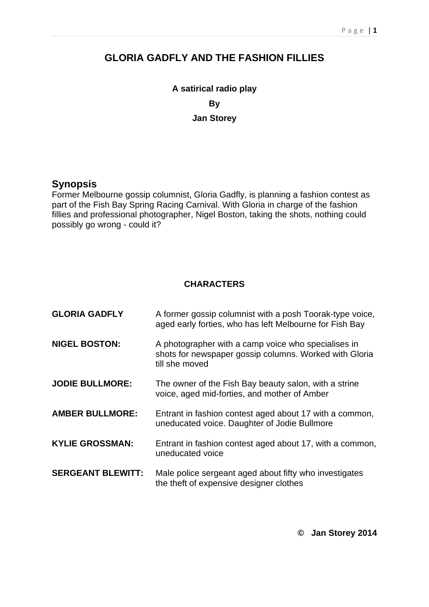# **GLORIA GADFLY AND THE FASHION FILLIES**

**A satirical radio play By Jan Storey**

# **Synopsis**

Former Melbourne gossip columnist, Gloria Gadfly, is planning a fashion contest as part of the Fish Bay Spring Racing Carnival. With Gloria in charge of the fashion fillies and professional photographer, Nigel Boston, taking the shots, nothing could possibly go wrong - could it?

#### **CHARACTERS**

| <b>GLORIA GADFLY</b>     | A former gossip columnist with a posh Toorak-type voice,<br>aged early forties, who has left Melbourne for Fish Bay             |
|--------------------------|---------------------------------------------------------------------------------------------------------------------------------|
| <b>NIGEL BOSTON:</b>     | A photographer with a camp voice who specialises in<br>shots for newspaper gossip columns. Worked with Gloria<br>till she moved |
| <b>JODIE BULLMORE:</b>   | The owner of the Fish Bay beauty salon, with a strine<br>voice, aged mid-forties, and mother of Amber                           |
| <b>AMBER BULLMORE:</b>   | Entrant in fashion contest aged about 17 with a common,<br>uneducated voice. Daughter of Jodie Bullmore                         |
| <b>KYLIE GROSSMAN:</b>   | Entrant in fashion contest aged about 17, with a common,<br>uneducated voice                                                    |
| <b>SERGEANT BLEWITT:</b> | Male police sergeant aged about fifty who investigates<br>the theft of expensive designer clothes                               |

**© Jan Storey 2014**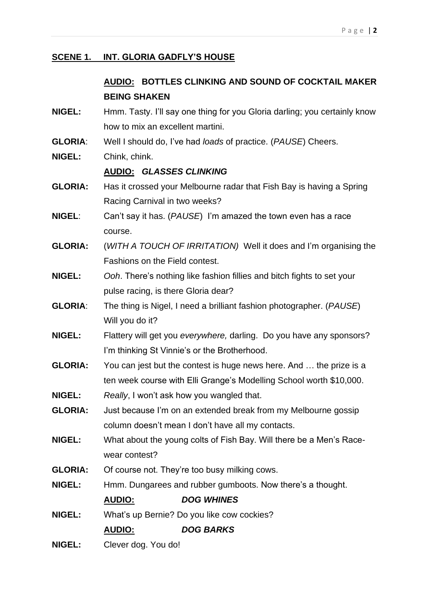### **SCENE 1. INT. GLORIA GADFLY'S HOUSE**

# **AUDIO: BOTTLES CLINKING AND SOUND OF COCKTAIL MAKER BEING SHAKEN**

- **NIGEL:** Hmm. Tasty. I'll say one thing for you Gloria darling; you certainly know how to mix an excellent martini.
- **GLORIA**: Well I should do, I've had *loads* of practice. (*PAUSE*) Cheers.
- **NIGEL:** Chink, chink.

### **AUDIO:** *GLASSES CLINKING*

- **GLORIA:** Has it crossed your Melbourne radar that Fish Bay is having a Spring Racing Carnival in two weeks?
- **NIGEL**: Can't say it has. (*PAUSE*) I'm amazed the town even has a race course.
- **GLORIA:** (*WITH A TOUCH OF IRRITATION)* Well it does and I'm organising the Fashions on the Field contest.
- **NIGEL:** *Ooh*. There's nothing like fashion fillies and bitch fights to set your pulse racing, is there Gloria dear?
- **GLORIA**: The thing is Nigel, I need a brilliant fashion photographer. (*PAUSE*) Will you do it?
- **NIGEL:** Flattery will get you *everywhere,* darling. Do you have any sponsors? I'm thinking St Vinnie's or the Brotherhood.
- **GLORIA:** You can jest but the contest is huge news here. And … the prize is a ten week course with Elli Grange's Modelling School worth \$10,000.
- **NIGEL:** *Really*, I won't ask how you wangled that.
- **GLORIA:** Just because I'm on an extended break from my Melbourne gossip column doesn't mean I don't have all my contacts.
- **NIGEL:** What about the young colts of Fish Bay. Will there be a Men's Racewear contest?
- **GLORIA:** Of course not. They're too busy milking cows.
- **NIGEL:** Hmm. Dungarees and rubber gumboots. Now there's a thought. **AUDIO:** *DOG WHINES*
- **NIGEL:** What's up Bernie? Do you like cow cockies?

**AUDIO:** *DOG BARKS*

**NIGEL:** Clever dog. You do!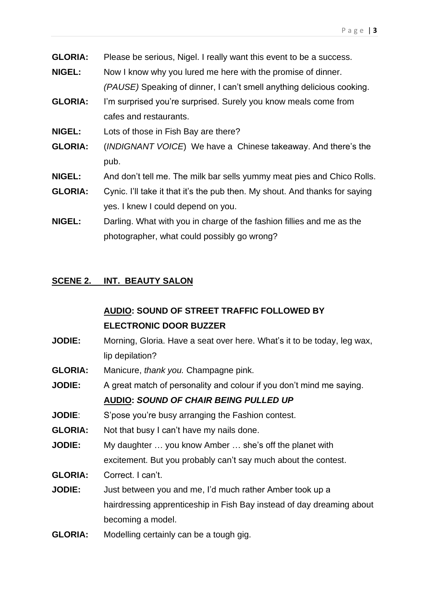- **GLORIA:** Please be serious, Nigel. I really want this event to be a success.
- **NIGEL:** Now I know why you lured me here with the promise of dinner. *(PAUSE)* Speaking of dinner, I can't smell anything delicious cooking.
- **GLORIA:** I'm surprised you're surprised. Surely you know meals come from cafes and restaurants.
- **NIGEL:** Lots of those in Fish Bay are there?
- **GLORIA:** (*INDIGNANT VOICE*) We have a Chinese takeaway. And there's the pub.
- **NIGEL:** And don't tell me. The milk bar sells yummy meat pies and Chico Rolls.
- **GLORIA:** Cynic. I'll take it that it's the pub then. My shout. And thanks for saying yes. I knew I could depend on you.
- **NIGEL:** Darling. What with you in charge of the fashion fillies and me as the photographer, what could possibly go wrong?

### **SCENE 2. INT. BEAUTY SALON**

# **AUDIO: SOUND OF STREET TRAFFIC FOLLOWED BY ELECTRONIC DOOR BUZZER**

- **JODIE:** Morning, Gloria. Have a seat over here. What's it to be today, leg wax, lip depilation?
- **GLORIA:** Manicure, *thank you.* Champagne pink.
- **JODIE:** A great match of personality and colour if you don't mind me saying. **AUDIO:** *SOUND OF CHAIR BEING PULLED UP*
- **JODIE**: S'pose you're busy arranging the Fashion contest.
- **GLORIA:** Not that busy I can't have my nails done.
- **JODIE:** My daughter … you know Amber … she's off the planet with excitement. But you probably can't say much about the contest.
- **GLORIA:** Correct. I can't.
- **JODIE:** Just between you and me, I'd much rather Amber took up a hairdressing apprenticeship in Fish Bay instead of day dreaming about becoming a model.
- **GLORIA:** Modelling certainly can be a tough gig.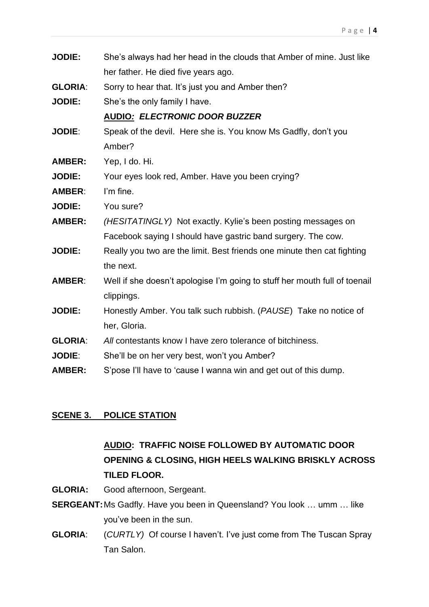| <b>JODIE:</b>  | She's always had her head in the clouds that Amber of mine. Just like      |
|----------------|----------------------------------------------------------------------------|
|                | her father. He died five years ago.                                        |
| <b>GLORIA:</b> | Sorry to hear that. It's just you and Amber then?                          |
| <b>JODIE:</b>  | She's the only family I have.                                              |
|                | <b>AUDIO: ELECTRONIC DOOR BUZZER</b>                                       |
| <b>JODIE:</b>  | Speak of the devil. Here she is. You know Ms Gadfly, don't you             |
|                | Amber?                                                                     |
| <b>AMBER:</b>  | Yep, I do. Hi.                                                             |
| <b>JODIE:</b>  | Your eyes look red, Amber. Have you been crying?                           |
| <b>AMBER:</b>  | I'm fine.                                                                  |
| <b>JODIE:</b>  | You sure?                                                                  |
| <b>AMBER:</b>  | (HESITATINGLY) Not exactly. Kylie's been posting messages on               |
|                | Facebook saying I should have gastric band surgery. The cow.               |
| <b>JODIE:</b>  | Really you two are the limit. Best friends one minute then cat fighting    |
|                | the next.                                                                  |
| <b>AMBER:</b>  | Well if she doesn't apologise I'm going to stuff her mouth full of toenail |
|                | clippings.                                                                 |
| <b>JODIE:</b>  | Honestly Amber. You talk such rubbish. (PAUSE) Take no notice of           |
|                | her, Gloria.                                                               |
| <b>GLORIA:</b> | All contestants know I have zero tolerance of bitchiness.                  |
| <b>JODIE:</b>  | She'll be on her very best, won't you Amber?                               |
| <b>AMBER:</b>  | S'pose I'll have to 'cause I wanna win and get out of this dump.           |

### **SCENE 3. POLICE STATION**

# **AUDIO: TRAFFIC NOISE FOLLOWED BY AUTOMATIC DOOR OPENING & CLOSING, HIGH HEELS WALKING BRISKLY ACROSS TILED FLOOR.**

- **GLORIA:** Good afternoon, Sergeant.
- **SERGEANT:**Ms Gadfly. Have you been in Queensland? You look … umm … like you've been in the sun.
- **GLORIA**: (*CURTLY)* Of course I haven't. I've just come from The Tuscan Spray Tan Salon.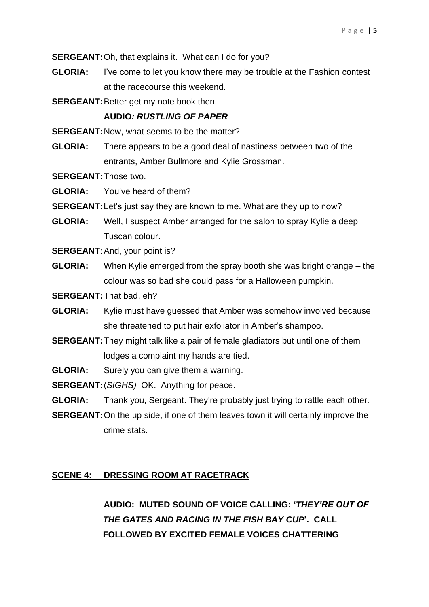**SERGEANT:** Oh, that explains it. What can I do for you?

**GLORIA:** I've come to let you know there may be trouble at the Fashion contest at the racecourse this weekend.

**SERGEANT:**Better get my note book then.

#### **AUDIO***: RUSTLING OF PAPER*

**SERGEANT: Now, what seems to be the matter?** 

**GLORIA:** There appears to be a good deal of nastiness between two of the entrants, Amber Bullmore and Kylie Grossman.

**SERGEANT:**Those two.

**GLORIA:** You've heard of them?

**SERGEANT:** Let's just say they are known to me. What are they up to now?

**GLORIA:** Well, I suspect Amber arranged for the salon to spray Kylie a deep Tuscan colour.

**SERGEANT:**And, your point is?

**GLORIA:** When Kylie emerged from the spray booth she was bright orange – the colour was so bad she could pass for a Halloween pumpkin.

**SERGEANT:**That bad, eh?

- **GLORIA:** Kylie must have guessed that Amber was somehow involved because she threatened to put hair exfoliator in Amber's shampoo.
- **SERGEANT:** They might talk like a pair of female gladiators but until one of them lodges a complaint my hands are tied.
- **GLORIA:** Surely you can give them a warning.

**SERGEANT:**(*SIGHS)* OK. Anything for peace.

- **GLORIA:** Thank you, Sergeant. They're probably just trying to rattle each other.
- **SERGEANT:** On the up side, if one of them leaves town it will certainly improve the crime stats.

#### **SCENE 4: DRESSING ROOM AT RACETRACK**

**AUDIO: MUTED SOUND OF VOICE CALLING: '***THEY'RE OUT OF THE GATES AND RACING IN THE FISH BAY CUP***'. CALL FOLLOWED BY EXCITED FEMALE VOICES CHATTERING**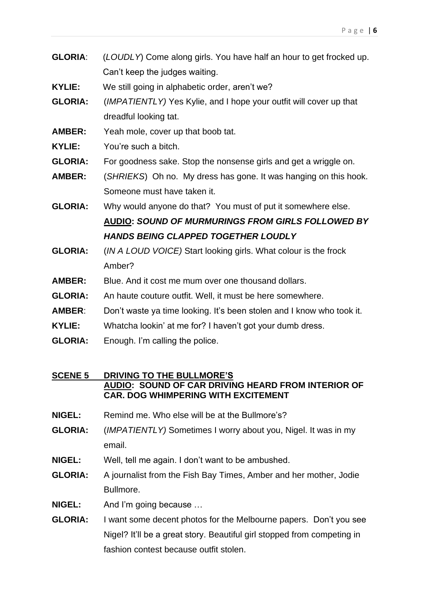- **GLORIA**: (*LOUDLY*) Come along girls. You have half an hour to get frocked up. Can't keep the judges waiting.
- **KYLIE:** We still going in alphabetic order, aren't we?
- **GLORIA:** (*IMPATIENTLY)* Yes Kylie, and I hope your outfit will cover up that dreadful looking tat.
- **AMBER:** Yeah mole, cover up that boob tat.
- **KYLIE:** You're such a bitch.
- **GLORIA:** For goodness sake. Stop the nonsense girls and get a wriggle on.
- **AMBER:** (*SHRIEKS*) Oh no. My dress has gone. It was hanging on this hook. Someone must have taken it.
- **GLORIA:** Why would anyone do that? You must of put it somewhere else. **AUDIO:** *SOUND OF MURMURINGS FROM GIRLS FOLLOWED BY HANDS BEING CLAPPED TOGETHER LOUDLY*
- **GLORIA:** (*IN A LOUD VOICE)* Start looking girls. What colour is the frock Amber?
- **AMBER:** Blue. And it cost me mum over one thousand dollars.
- **GLORIA:** An haute couture outfit. Well, it must be here somewhere.
- **AMBER**: Don't waste ya time looking. It's been stolen and I know who took it.
- **KYLIE:** Whatcha lookin' at me for? I haven't got your dumb dress.
- **GLORIA:** Enough. I'm calling the police.

#### **SCENE 5 DRIVING TO THE BULLMORE'S AUDIO: SOUND OF CAR DRIVING HEARD FROM INTERIOR OF CAR. DOG WHIMPERING WITH EXCITEMENT**

- **NIGEL:** Remind me. Who else will be at the Bullmore's?
- **GLORIA:** (*IMPATIENTLY)* Sometimes I worry about you, Nigel. It was in my email.
- **NIGEL:** Well, tell me again. I don't want to be ambushed.
- **GLORIA:** A journalist from the Fish Bay Times, Amber and her mother, Jodie Bullmore.
- **NIGEL:** And I'm going because …
- **GLORIA:** I want some decent photos for the Melbourne papers. Don't you see Nigel? It'll be a great story. Beautiful girl stopped from competing in fashion contest because outfit stolen.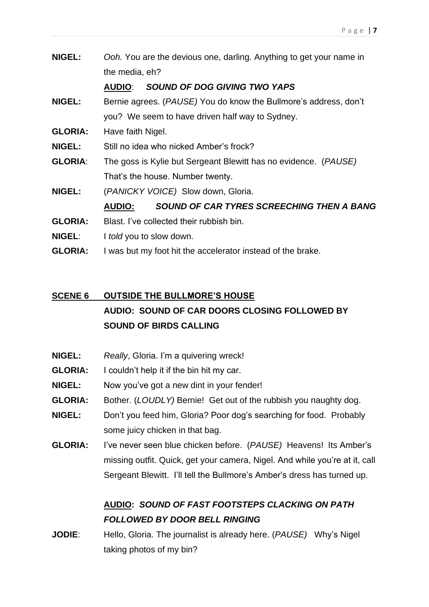**NIGEL:** *Ooh.* You are the devious one, darling. Anything to get your name in the media, eh?

### **AUDIO**: *SOUND OF DOG GIVING TWO YAPS*

- **NIGEL:** Bernie agrees. (*PAUSE)* You do know the Bullmore's address, don't you? We seem to have driven half way to Sydney.
- **GLORIA:** Have faith Nigel.
- **NIGEL:** Still no idea who nicked Amber's frock?
- **GLORIA**: The goss is Kylie but Sergeant Blewitt has no evidence. (*PAUSE)* That's the house. Number twenty.
- **NIGEL:** (*PANICKY VOICE)* Slow down, Gloria.

**AUDIO:** *SOUND OF CAR TYRES SCREECHING THEN A BANG*

- **GLORIA:** Blast. I've collected their rubbish bin.
- **NIGEL**: I *told* you to slow down.
- **GLORIA:** I was but my foot hit the accelerator instead of the brake.

# **SCENE 6 OUTSIDE THE BULLMORE'S HOUSE AUDIO: SOUND OF CAR DOORS CLOSING FOLLOWED BY SOUND OF BIRDS CALLING**

- **NIGEL:** *Really*, Gloria. I'm a quivering wreck!
- **GLORIA:** I couldn't help it if the bin hit my car.
- **NIGEL:** Now you've got a new dint in your fender!
- **GLORIA:** Bother. (*LOUDLY)* Bernie! Get out of the rubbish you naughty dog.
- **NIGEL:** Don't you feed him, Gloria? Poor dog's searching for food. Probably some juicy chicken in that bag.
- **GLORIA:** I've never seen blue chicken before. (*PAUSE)* Heavens! Its Amber's missing outfit. Quick, get your camera, Nigel. And while you're at it, call Sergeant Blewitt. I'll tell the Bullmore's Amber's dress has turned up.

# **AUDIO:** *SOUND OF FAST FOOTSTEPS CLACKING ON PATH FOLLOWED BY DOOR BELL RINGING*

**JODIE**: Hello, Gloria. The journalist is already here. (*PAUSE)* Why's Nigel taking photos of my bin?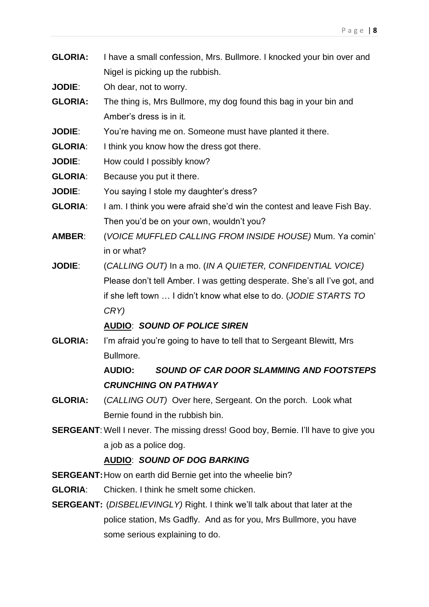**GLORIA:** I have a small confession, Mrs. Bullmore. I knocked your bin over and Nigel is picking up the rubbish.

**JODIE**: Oh dear, not to worry.

- **GLORIA:** The thing is, Mrs Bullmore, my dog found this bag in your bin and Amber's dress is in it.
- **JODIE**: You're having me on. Someone must have planted it there.
- **GLORIA:** I think you know how the dress got there.
- **JODIE:** How could I possibly know?
- **GLORIA:** Because you put it there.
- **JODIE:** You saying I stole my daughter's dress?
- **GLORIA**: I am. I think you were afraid she'd win the contest and leave Fish Bay. Then you'd be on your own, wouldn't you?
- **AMBER**: (*VOICE MUFFLED CALLING FROM INSIDE HOUSE)* Mum. Ya comin' in or what?
- **JODIE**: (*CALLING OUT)* In a mo. (*IN A QUIETER, CONFIDENTIAL VOICE)* Please don't tell Amber. I was getting desperate. She's all I've got, and if she left town … I didn't know what else to do. (*JODIE STARTS TO CRY)*

# **AUDIO**: *SOUND OF POLICE SIREN*

**GLORIA:** I'm afraid you're going to have to tell that to Sergeant Blewitt, Mrs Bullmore.

# **AUDIO:** *SOUND OF CAR DOOR SLAMMING AND FOOTSTEPS CRUNCHING ON PATHWAY*

- **GLORIA:** (*CALLING OUT)* Over here, Sergeant. On the porch. Look what Bernie found in the rubbish bin.
- **SERGEANT:** Well I never. The missing dress! Good boy, Bernie. I'll have to give you a job as a police dog.

# **AUDIO**: *SOUND OF DOG BARKING*

- **SERGEANT:**How on earth did Bernie get into the wheelie bin?
- **GLORIA**: Chicken. I think he smelt some chicken.
- **SERGEANT:** (*DISBELIEVINGLY)* Right. I think we'll talk about that later at the police station, Ms Gadfly. And as for you, Mrs Bullmore, you have some serious explaining to do.